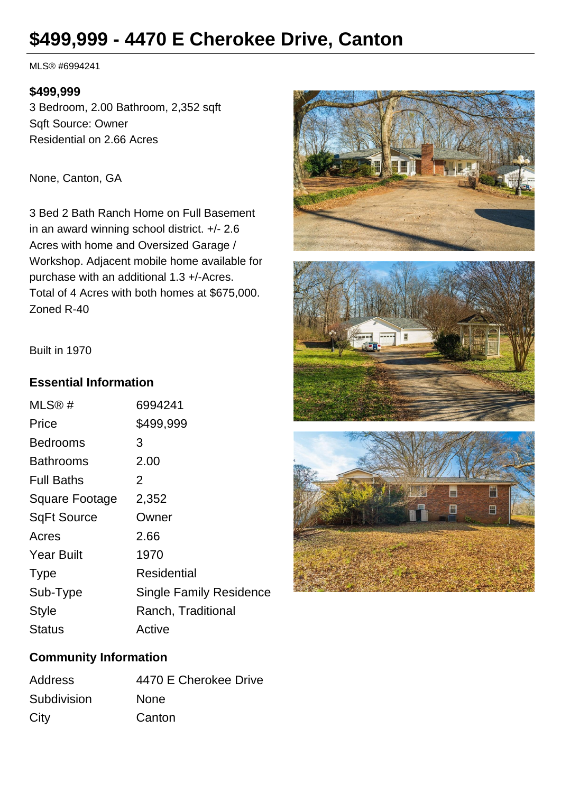# **\$499,999 - 4470 E Cherokee Drive, Canton**

MLS® #6994241

#### **\$499,999**

3 Bedroom, 2.00 Bathroom, 2,352 sqft Sqft Source: Owner Residential on 2.66 Acres

None, Canton, GA

3 Bed 2 Bath Ranch Home on Full Basement in an award winning school district. +/- 2.6 Acres with home and Oversized Garage / Workshop. Adjacent mobile home available for purchase with an additional 1.3 +/-Acres. Total of 4 Acres with both homes at \$675,000. Zoned R-40







Built in 1970

### **Essential Information**

| MLS@#                 | 6994241                        |
|-----------------------|--------------------------------|
| Price                 | \$499,999                      |
| Bedrooms              | 3                              |
| <b>Bathrooms</b>      | 2.00                           |
| <b>Full Baths</b>     | 2                              |
| <b>Square Footage</b> | 2,352                          |
| <b>SqFt Source</b>    | Owner                          |
| Acres                 | 2.66                           |
| <b>Year Built</b>     | 1970                           |
| <b>Type</b>           | Residential                    |
| Sub-Type              | <b>Single Family Residence</b> |
| Style                 | Ranch, Traditional             |
| Status                | Active                         |
|                       |                                |

# **Community Information**

| <b>Address</b> | 4470 E Cherokee Drive |
|----------------|-----------------------|
| Subdivision    | <b>None</b>           |
| City           | Canton                |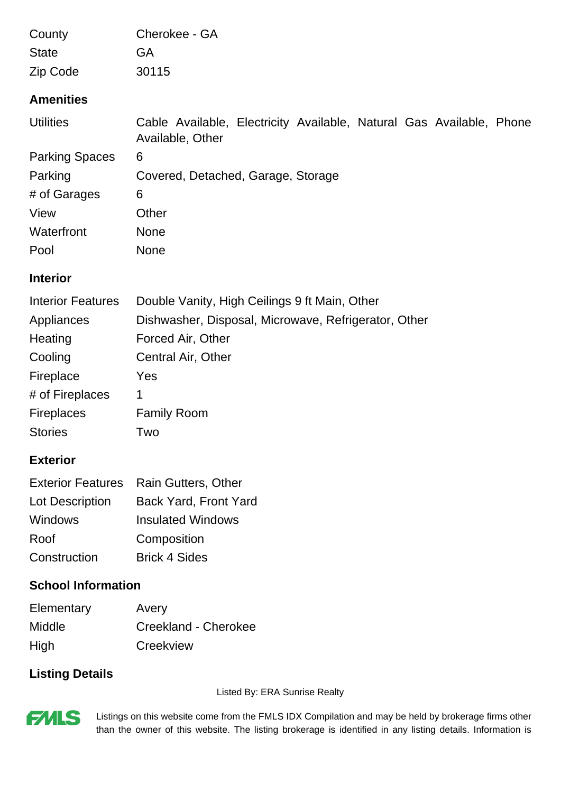| County                   | Cherokee - GA                                                                            |  |
|--------------------------|------------------------------------------------------------------------------------------|--|
| <b>State</b>             | GA                                                                                       |  |
| Zip Code                 | 30115                                                                                    |  |
| <b>Amenities</b>         |                                                                                          |  |
| <b>Utilities</b>         | Cable Available, Electricity Available, Natural Gas Available, Phone<br>Available, Other |  |
| <b>Parking Spaces</b>    | 6                                                                                        |  |
| Parking                  | Covered, Detached, Garage, Storage                                                       |  |
| # of Garages             | 6                                                                                        |  |
| View                     | Other                                                                                    |  |
| Waterfront               | <b>None</b>                                                                              |  |
| Pool                     | <b>None</b>                                                                              |  |
| <b>Interior</b>          |                                                                                          |  |
| <b>Interior Features</b> | Double Vanity, High Ceilings 9 ft Main, Other                                            |  |
| Appliances               | Dishwasher, Disposal, Microwave, Refrigerator, Other                                     |  |
| Heating                  | Forced Air, Other                                                                        |  |
| Cooling                  | Central Air, Other                                                                       |  |

|                 | Exterior Features Rain Gutters, Other |
|-----------------|---------------------------------------|
| Lot Description | <b>Back Yard, Front Yard</b>          |
| <b>Windows</b>  | <b>Insulated Windows</b>              |
| Roof            | Composition                           |
| Construction    | <b>Brick 4 Sides</b>                  |

# **School Information**

Fireplace Yes

Stories Two

Fireplaces Family Room

# of Fireplaces 1

**Exterior**

| Elementary    | Avery                |
|---------------|----------------------|
| <b>Middle</b> | Creekland - Cherokee |
| High          | Creekview            |

### **Listing Details**

Listed By: ERA Sunrise Realty



Listings on this website come from the FMLS IDX Compilation and may be held by brokerage firms other than the owner of this website. The listing brokerage is identified in any listing details. Information is